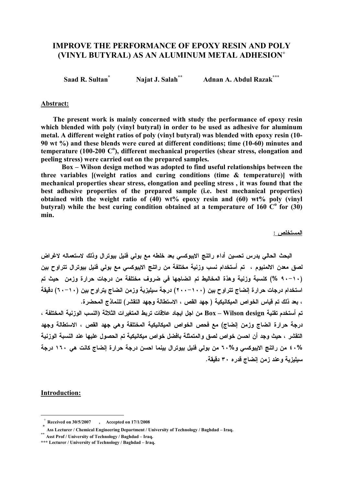# IMPROVE THE PERFORMANCE OF EPOXY RESIN AND POLY (VINYL BUTYRAL) AS AN ALUMINUM METAL ADHESION<sup>+</sup>

Saad R. Sultan<sup>\*</sup> Najat J. Salah<sup>\*\*</sup> Adnan A. Abdul Razak<sup>\*\*\*</sup>

#### Abstract:

 The present work is mainly concerned with study the performance of epoxy resin which blended with poly (vinyl butyral) in order to be used as adhesive for aluminum metal. A different weight ratios of poly (vinyl butyral) was blended with epoxy resin (10- 90 wt %) and these blends were cured at different conditions; time (10-60) minutes and temperature (100-200  $C^{\circ}$ ), different mechanical properties (shear stress, elongation and peeling stress) were carried out on the prepared samples.

 Box – Wilson design method was adopted to find useful relationships between the three variables [(weight ratios and curing conditions (time & temperature)] with mechanical properties shear stress, elongation and peeling stress , it was found that the best adhesive properties of the prepared sample (i.e. best mechanical properties) obtained with the weight ratio of  $(40)$  wt% epoxy resin and  $(60)$  wt% poly (vinyl butyral) while the best curing condition obtained at a temperature of 160  $\overline{C}^{\text{o}}$  for (30) min.

المستخلص :

البحث الحالي يدرس تحسين أداء راتنج الايبوكسي بعد خلطه مع بولي فنيل بيوترال وذلك لاستعماله لاغراض لصق معدن الالمنيوم ، تم أستخدام نسب وزنية مختلفة من راتنج الايبوكسي مع بولي فنيل بيوترال تتراوح بين (٩٠-١٠ %) كنسبة وزنية وهذة المخاليط تم انضاجها في ضروف مختلفة من درجات حرارة وزمن حيث تم استخدام درجات حرارة إنضاج تتراوح بين (٢٠٠-١٠٠) درجة سيليزية وزمن انضاج يتراوح بين (٦٠-١٠) دقيقة ، بعد ذلك تم قياس الخواص الميكانيكية ( جهد القص ، الاستطالة وجهد التقشر) للنماذج المحضرة .

تم أستخدم تقنية design Wilson – Box من اجل ايجاد علاقات تربط المتغيرات الثلاثة (النسب الوزنية المختلفة ، درجة حرارة انضاج وزمن إنضاج) مع فحص الخواص الميكانيكية المختلفة وهي جهد القص ، الاستطالة وجهد التقشر ، حيث وجد أن احسن خواص لصق والمتمثلة بافضل خواص ميكانيكية تم الحصول عليها عند النسبة الوزنية ٤٠% من راتنج الايبوكسي و٦٠% من بولي فنيل بيوترال بينما احسن درجة حرارة إنضاج كانت هي ١٦٠ درجة سيليزية وعند زمن إنضاج قدره ٣٠ دقيقة .

#### Introduction:

 $\overline{a}$ 

 $+$  Received on 30/5/2007 , Accepted on 17/1/2008

<sup>\*</sup> Ass Lecturer / Chemical Engineering Department / University of Technology / Baghdad – Iraq.

<sup>\*\*</sup> Asst Prof / University of Technology / Baghdad – Iraq.

<sup>\*\*\*</sup> Lecturer / University of Technology / Baghdad – Iraq.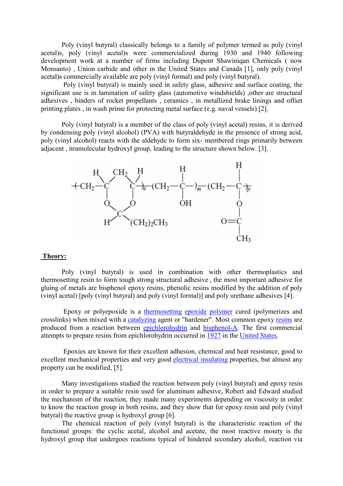Poly (vinyl butyral) classically belongs to a family of polymer termed as poly (vinyl acetal)s, poly (vinyl acetal)s were commercialized during 1930 and 1940 following development work at a number of firms including Dupont Shawiniqan Chemicals ( now Monsanto) , Union carbide and other in the United States and Canada [1], only poly (vinyl acetal)s commercially available are poly (vinyl formal) and poly (vinyl butyral).

 Poly (vinyl butyral) is mainly used in safety glass, adhesive and surface coating, the significant use is in lamination of safety glass (automotive windshields) ,other are structural adhesives , binders of rocket propellants , ceramics , in metallized brake linings and offset printing plates , in wash prime for protecting metal surface (e.g. naval vessels).[2].

Poly (vinyl butyral) is a member of the class of poly (vinyl acetal) resins, it is derived by condensing poly (vinyl alcohol) (PVA) with butyraldehyde in the presence of strong acid, poly (vinyl alcohol) reacts with the aldehyde to form six- membered rings primarily between adjacent , itramolecular hydroxyl group, leading to the structure shown below. [3].



#### Theory:

Poly (vinyl butyral) is used in combination with other thermoplastics and thermosetting resin to form tough strong structural adhesive , the most important adhesive for gluing of metals are bisphenol epoxy resins, phenolic resins modified by the addition of poly (vinyl acetal) [poly (vinyl butyral) and poly (vinyl formal)] and poly urethane adhesives [4].

 Epoxy or polyepoxide is a thermosetting epoxide polymer cured (polymerizes and crosslinks) when mixed with a catalyzing agent or "hardener". Most common epoxy resins are produced from a reaction between epichlorohydrin and bisphenol-A. The first commercial attempts to prepare resins from epichlorohydrin occurred in 1927 in the United States.

 Epoxies are known for their excellent adhesion, chemical and heat resistance, good to excellent mechanical properties and very good electrical insulating properties, but almost any property can be modified, [5].

Many investigations studied the reaction between poly (vinyl butyral) and epoxy resin in order to prepare a suitable resin used for aluminum adhesive, Robert and Edward studied the mechanism of the reaction, they made many experiments depending on viscosity in order to know the reaction group in both resins, and they show that for epoxy resin and poly (vinyl butyral) the reactive group is hydroxyl group [6].

The chemical reaction of poly (vinyl butyral) is the characteristic reaction of the functional groups: the cyclic acetal, alcohol and acetate, the most reactive moiety is the hydroxyl group that undergoes reactions typical of hindered secondary alcohol, reaction via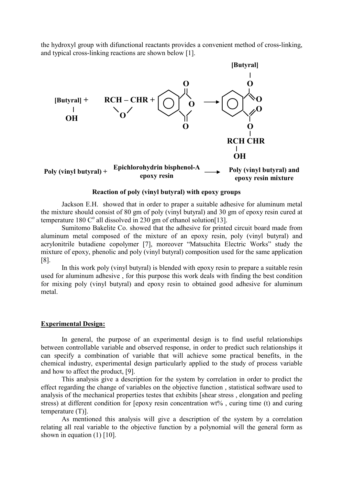the hydroxyl group with difunctional reactants provides a convenient method of cross-linking, and typical cross-linking reactions are shown below [1].



#### Reaction of poly (vinyl butyral) with epoxy groups

Jackson E.H. showed that in order to praper a suitable adhesive for aluminum metal the mixture should consist of 80 gm of poly (vinyl butyral) and 30 gm of epoxy resin cured at temperature 180  $C^{\circ}$  all dissolved in 230 gm of ethanol solution[13].

Sumitomo Bakelite Co. showed that the adhesive for printed circuit board made from aluminum metal composed of the mixture of an epoxy resin, poly (vinyl butyral) and acrylonitrile butadiene copolymer [7], moreover "Matsuchita Electric Works" study the mixture of epoxy, phenolic and poly (vinyl butyral) composition used for the same application [8].

In this work poly (vinyl butyral) is blended with epoxy resin to prepare a suitable resin used for aluminum adhesive , for this purpose this work deals with finding the best condition for mixing poly (vinyl butyral) and epoxy resin to obtained good adhesive for aluminum metal.

#### Experimental Design:

In general, the purpose of an experimental design is to find useful relationships between controllable variable and observed response, in order to predict such relationships it can specify a combination of variable that will achieve some practical benefits, in the chemical industry, experimental design particularly applied to the study of process variable and how to affect the product, [9].

This analysis give a description for the system by correlation in order to predict the effect regarding the change of variables on the objective function , statistical software used to analysis of the mechanical properties testes that exhibits [shear stress , elongation and peeling stress) at different condition for [epoxy resin concentration wt%, curing time (t) and curing temperature (T)].

As mentioned this analysis will give a description of the system by a correlation relating all real variable to the objective function by a polynomial will the general form as shown in equation  $(1)$  [10].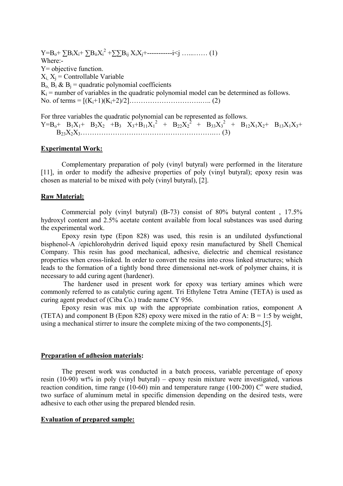$Y = B_0 + \sum B_i X_i + \sum B_{ii} X_i^2 + \sum B_{ij} X_i X_j + \cdots + \cdots + \sum j \dots \dots \dots \dots (1)$ Where:- Y= objective function.  $X_i$ ,  $X_j$  = Controllable Variable  $B_0$ ,  $B_i$  &  $B_j$  = quadratic polynomial coefficients  $K_i$  = number of variables in the quadratic polynomial model can be determined as follows. No. of terms = [(Ki+1)(Ki+2)/2]………………………….….. (2)

For three variables the quadratic polynomial can be represented as follows.

 $Y=B_0+ B_1X_1+ B_2X_2 + B_3+ X_3+B_{11}X_1^2 + B_{22}X_2^2 + B_{33}X_3^2 + B_{12}X_1X_2+ B_{13}X_1X_3+$  $B_2X_2X_3...$  (3)

### Experimental Work:

Complementary preparation of poly (vinyl butyral) were performed in the literature [11], in order to modify the adhesive properties of poly (vinyl butyral); epoxy resin was chosen as material to be mixed with poly (vinyl butyral), [2].

### Raw Material:

Commercial poly (vinyl butyral) (B-73) consist of 80% butyral content , 17.5% hydroxyl content and 2.5% acetate content available from local substances was used during the experimental work.

Epoxy resin type (Epon 828) was used, this resin is an undiluted dysfunctional bisphenol-A /epichlorohydrin derived liquid epoxy resin manufactured by Shell Chemical Company. This resin has good mechanical, adhesive, dielectric and chemical resistance properties when cross-linked. In order to convert the resins into cross linked structures; which leads to the formation of a tightly bond three dimensional net-work of polymer chains, it is necessary to add curing agent (hardener).

 The hardener used in present work for epoxy was tertiary amines which were commonly referred to as catalytic curing agent. Tri Ethylene Tetra Amine (TETA) is used as curing agent product of (Ciba Co.) trade name CY 956.

Epoxy resin was mix up with the appropriate combination ratios, component A (TETA) and component B (Epon 828) epoxy were mixed in the ratio of A:  $B = 1:5$  by weight, using a mechanical stirrer to insure the complete mixing of the two components,[5].

### Preparation of adhesion materials:

The present work was conducted in a batch process, variable percentage of epoxy resin (10-90) wt% in poly (vinyl butyral) – epoxy resin mixture were investigated, various reaction condition, time range (10-60) min and temperature range (100-200)  $\degree$  were studied, two surface of aluminum metal in specific dimension depending on the desired tests, were adhesive to each other using the prepared blended resin.

### Evaluation of prepared sample: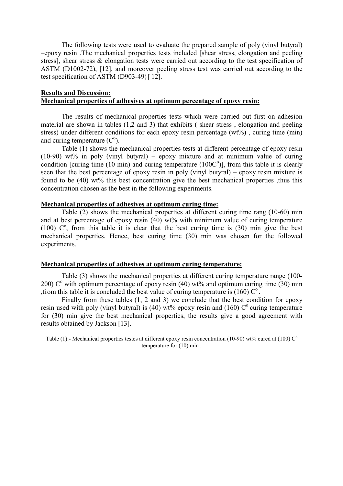The following tests were used to evaluate the prepared sample of poly (vinyl butyral) –epoxy resin .The mechanical properties tests included [shear stress, elongation and peeling stress], shear stress & elongation tests were carried out according to the test specification of ASTM (D1002-72), [12], and moreover peeling stress test was carried out according to the test specification of ASTM (D903-49) [ 12].

# Results and Discussion: Mechanical properties of adhesives at optimum percentage of epoxy resin:

The results of mechanical properties tests which were carried out first on adhesion material are shown in tables (1,2 and 3) that exhibits ( shear stress , elongation and peeling stress) under different conditions for each epoxy resin percentage (wt%), curing time (min) and curing temperature  $(C<sup>o</sup>)$ .

Table (1) shows the mechanical properties tests at different percentage of epoxy resin (10-90) wt% in poly (vinyl butyral) – epoxy mixture and at minimum value of curing condition [curing time  $(10 \text{ min})$  and curing temperature  $(100C<sup>o</sup>)$ ], from this table it is clearly seen that the best percentage of epoxy resin in poly (vinyl butyral) – epoxy resin mixture is found to be (40) wt% this best concentration give the best mechanical properties ,thus this concentration chosen as the best in the following experiments.

## Mechanical properties of adhesives at optimum curing time:

Table (2) shows the mechanical properties at different curing time rang (10-60) min and at best percentage of epoxy resin (40) wt% with minimum value of curing temperature (100)  $C^{\circ}$ , from this table it is clear that the best curing time is (30) min give the best mechanical properties. Hence, best curing time (30) min was chosen for the followed experiments.

## Mechanical properties of adhesives at optimum curing temperature:

Table (3) shows the mechanical properties at different curing temperature range (100- 200)  $C^{\circ}$  with optimum percentage of epoxy resin (40) wt% and optimum curing time (30) min , from this table it is concluded the best value of curing temperature is (160)  $\mathrm{C}^{\circ}$ .

Finally from these tables (1, 2 and 3) we conclude that the best condition for epoxy resin used with poly (vinyl butyral) is (40) wt% epoxy resin and (160)  $C^{\circ}$  curing temperature for (30) min give the best mechanical properties, the results give a good agreement with results obtained by Jackson [13].

Table (1):- Mechanical properties testes at different epoxy resin concentration (10-90) wt% cured at (100)  $\mathbb{C}^{\circ}$ temperature for (10) min .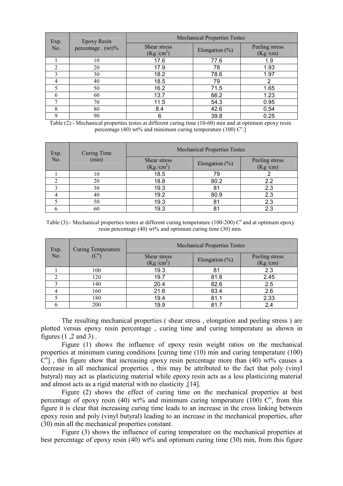| Exp.<br>No. | <b>Epoxy Resin</b><br>percentage $. (wt)\%$ | <b>Mechanical Properties Testes</b>   |                    |                           |
|-------------|---------------------------------------------|---------------------------------------|--------------------|---------------------------|
|             |                                             | Shear stress<br>(Kg/cm <sup>2</sup> ) | Elongation $(\% )$ | Peeling stress<br>(Kg/cm) |
|             | 10                                          | 17.6                                  | 77.6               | 1.9                       |
| 2           | 20                                          | 17.9                                  | 78                 | 1.93                      |
|             | 30                                          | 18.2                                  | 78.6               | 1.97                      |
| 4           | 40                                          | 18.5                                  | 79                 | 2                         |
|             | 50                                          | 16.2                                  | 71.5               | 1.65                      |
| h           | 60                                          | 13.7                                  | 66.2               | 1.23                      |
|             | 70                                          | 11.5                                  | 54.3               | 0.95                      |
| 8           | 80                                          | 8.4                                   | 42.6               | 0.54                      |
| Q           | 90                                          | 6                                     | 39.8               | 0.25                      |

Table (2):- Mechanical properties testes at different curing time (10-60) min and at optimum epoxy resin percentage (40) wt% and minimum curing temperature (100)  $\mathcal{C}^{\circ}$ .]

| Exp.<br>No. | <b>Curing Time</b><br>(min) | <b>Mechanical Properties Testes</b>   |                    |                           |
|-------------|-----------------------------|---------------------------------------|--------------------|---------------------------|
|             |                             | Shear stress<br>(Kg/cm <sup>2</sup> ) | Elongation $(\% )$ | Peeling stress<br>(Kg/cm) |
|             |                             | 18.5                                  | 79                 |                           |
|             | 20                          | 18.8                                  | 80.2               | 2.2                       |
|             | 30                          | 19.3                                  | 81                 | 2.3                       |
|             | 40                          | 19.2                                  | 80.9               | 2.3                       |
|             | 50                          | 19.3                                  | 81                 | 2.3                       |
|             | 60                          | 19.3                                  | 81                 | 2.3                       |

Table (3):- Mechanical properties testes at different curing temperature (100-200)  $C^{\circ}$  and at optimum epoxy resin percentage (40) wt% and optimum curing time (30) min.

| Exp.<br>No. | <b>Curing Temperature</b><br>$(C^{\circ})$ | <b>Mechanical Properties Testes</b>   |                   |                           |
|-------------|--------------------------------------------|---------------------------------------|-------------------|---------------------------|
|             |                                            | Shear stress<br>(Kg/cm <sup>2</sup> ) | Elongation $(\%)$ | Peeling stress<br>(Kg/cm) |
|             | 100                                        | 19.3                                  | 81                | 2.3                       |
| ◠           | 120                                        | 19.7                                  | 81.8              | 2.45                      |
|             | 140                                        | 20.4                                  | 82.6              | 2.5                       |
|             | 160                                        | 21.6                                  | 83.4              | 2.6                       |
|             | 180                                        | 19.4                                  | 81.1              | 2.33                      |
|             | 200                                        | 19.9                                  | 81.7              | 2.4                       |

The resulting mechanical properties ( shear stress , elongation and peeling stress ) are plotted versus epoxy resin percentage , curing time and curing temperature as shown in figures (1 ,2 and 3) .

Figure (1) shows the influence of epoxy resin weight ratios on the mechanical properties at minimum curing conditions [curing time (10) min and curing temperature (100)  $C<sup>o</sup>$ ], this figure show that increasing epoxy resin percentage more than (40) wt% causes a decrease in all mechanical properties , this may be attributed to the fact that poly (vinyl butyral) may act as plasticizing material while epoxy resin acts as a less plasticizing material and almost acts as a rigid material with no elasticity ,[14].

Figure (2) shows the effect of curing time on the mechanical properties at best percentage of epoxy resin (40) wt% and minimum curing temperature (100)  $\mathcal{C}^{\circ}$ , from this figure it is clear that increasing curing time leads to an increase in the cross linking between epoxy resin and poly (vinyl butyral) leading to an increase in the mechanical properties, after (30) min all the mechanical properties constant.

Figure (3) shows the influence of curing temperature on the mechanical properties at best percentage of epoxy resin (40) wt% and optimum curing time (30) min, from this figure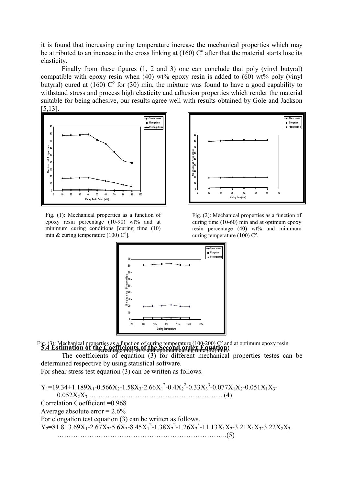it is found that increasing curing temperature increase the mechanical properties which may be attributed to an increase in the cross linking at  $(160)$  C<sup>o</sup> after that the material starts lose its elasticity.

Finally from these figures (1, 2 and 3) one can conclude that poly (vinyl butyral) compatible with epoxy resin when  $(40)$  wt% epoxy resin is added to  $(60)$  wt% poly (vinyl) butyral) cured at  $(160)$  C<sup>o</sup> for (30) min, the mixture was found to have a good capability to withstand stress and process high elasticity and adhesion properties which render the material suitable for being adhesive, our results agree well with results obtained by Gole and Jackson [5,13].



Fig. (1): Mechanical properties as a function of epoxy resin percentage  $(10-90)$  wt% and at minimum curing conditions [curing time (10) min & curing temperature  $(100)$  C<sup>o</sup>].



Fig. (2): Mechanical properties as a function of curing time (10-60) min and at optimum epoxy resin percentage (40) wt% and minimum curing temperature  $(100)$   $C^{\circ}$ .



5.4 Estimation of the Coefficients of the Second order Equation: Fig. (3): Mechanical properties as a function of curing temperature (100-200)  $C^{\circ}$  and at optimum epoxy resin percentage (40) wt% and optimum curing time (30) min.

The coefficients of equation (3) for different mechanical properties testes can be determined respective by using statistical software.

For shear stress test equation (3) can be written as follows.

 $Y_1$ =19.34+1.189X<sub>1</sub>-0.566X<sub>2</sub>-1.58X<sub>3</sub>-2.66X<sub>1</sub><sup>2</sup>-0.4X<sub>2</sub><sup>2</sup>-0.33X<sub>3</sub><sup>3</sup>-0.077X<sub>1</sub>X<sub>2</sub>-0.051X<sub>1</sub>X<sub>3</sub>-0.052X2X3 …………………………………………………..(4) Correlation Coefficient =0.968 Average absolute error  $= 2.6\%$ For elongation test equation (3) can be written as follows.  $Y_2=81.8+3.69X_1-2.67X_2-5.6X_3-8.45X_1^2-1.38X_2^2-1.26X_3^3-11.13X_1X_2-3.21X_1X_3-3.22X_2X_3$ ………………………………………………………………..(5)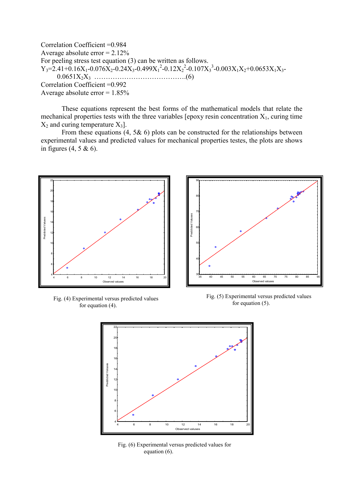Correlation Coefficient =0.984 Average absolute error  $= 2.12\%$ For peeling stress test equation (3) can be written as follows.  $Y_3 = 2.41 + 0.16X_1 - 0.076X_2 - 0.24X_3 - 0.499X_1^2 - 0.12X_2^2 - 0.107X_3^3 - 0.003X_1X_2 + 0.0653X_1X_3 - 0.003X_2^3 - 0.003X_3^2 - 0.003X_1^3 - 0.003X_2^3 - 0.003X_3^2 - 0.003X_3^3 - 0.003X_3^3 - 0.003X_3^3 - 0.003X_3^2 - 0.003X_3^3 -$ 0.0651X2X3 ………………………………….(6) Correlation Coefficient =0.992 Average absolute error  $= 1.85\%$ 

These equations represent the best forms of the mathematical models that relate the mechanical properties tests with the three variables [epoxy resin concentration  $X_1$ , curing time  $X_2$  and curing temperature  $X_3$ ].

From these equations  $(4, 5\& 6)$  plots can be constructed for the relationships between experimental values and predicted values for mechanical properties testes, the plots are shows in figures  $(4, 5 \& 6)$ .



Fig. (4) Experimental versus predicted values for equation (4).



Fig. (5) Experimental versus predicted values for equation (5).



Fig. (6) Experimental versus predicted values for equation (6).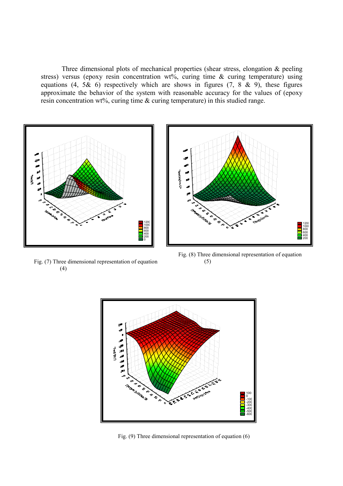Three dimensional plots of mechanical properties (shear stress, elongation & peeling stress) versus (epoxy resin concentration wt%, curing time  $\&$  curing temperature) using equations (4,  $5\&$  6) respectively which are shows in figures (7,  $8\&$  9), these figures approximate the behavior of the system with reasonable accuracy for the values of (epoxy resin concentration wt%, curing time & curing temperature) in this studied range.



Fig. (7) Three dimensional representation of equation (4)



Fig. (8) Three dimensional representation of equation (5)



Fig. (9) Three dimensional representation of equation (6)